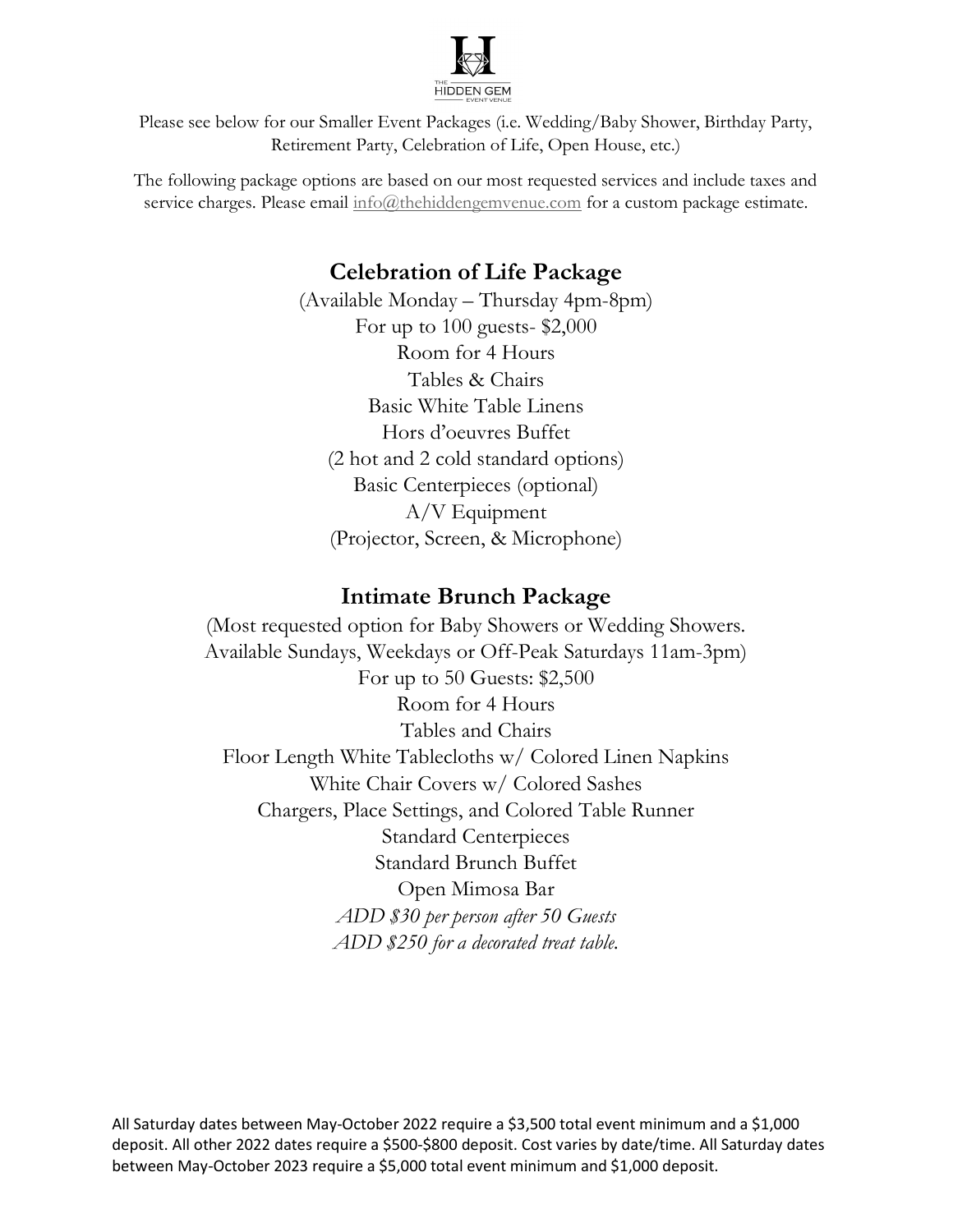

Please see below for our Smaller Event Packages (i.e. Wedding/Baby Shower, Birthday Party, Retirement Party, Celebration of Life, Open House, etc.)

The following package options are based on our most requested services and include taxes and service charges. Please email  $info@thehiddengemvenue.com$  for a custom package estimate.

## Celebration of Life Package

(Available Monday – Thursday 4pm-8pm) For up to 100 guests- \$2,000 Room for 4 Hours Tables & Chairs Basic White Table Linens Hors d'oeuvres Buffet (2 hot and 2 cold standard options) Basic Centerpieces (optional) A/V Equipment (Projector, Screen, & Microphone)

## Intimate Brunch Package

(Most requested option for Baby Showers or Wedding Showers. Available Sundays, Weekdays or Off-Peak Saturdays 11am-3pm) For up to 50 Guests: \$2,500 Room for 4 Hours Tables and Chairs Floor Length White Tablecloths w/ Colored Linen Napkins White Chair Covers w/ Colored Sashes Chargers, Place Settings, and Colored Table Runner Standard Centerpieces Standard Brunch Buffet Open Mimosa Bar ADD \$30 per person after 50 Guests ADD \$250 for a decorated treat table.

All Saturday dates between May-October 2022 require a \$3,500 total event minimum and a \$1,000 deposit. All other 2022 dates require a \$500-\$800 deposit. Cost varies by date/time. All Saturday dates between May-October 2023 require a \$5,000 total event minimum and \$1,000 deposit.